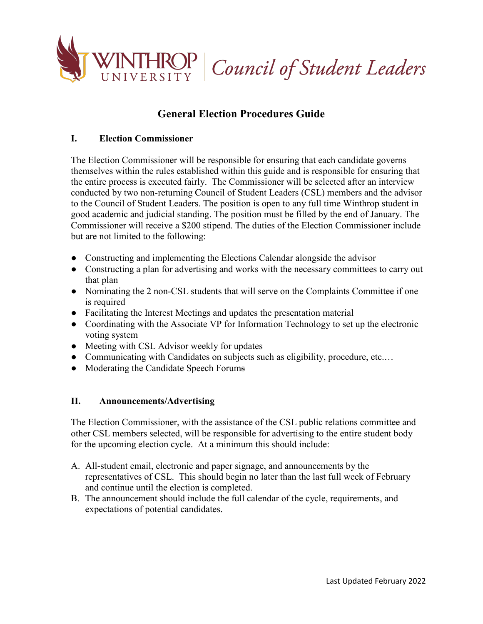

# **General Election Procedures Guide**

# **I. Election Commissioner**

The Election Commissioner will be responsible for ensuring that each candidate governs themselves within the rules established within this guide and is responsible for ensuring that the entire process is executed fairly. The Commissioner will be selected after an interview conducted by two non-returning Council of Student Leaders (CSL) members and the advisor to the Council of Student Leaders. The position is open to any full time Winthrop student in good academic and judicial standing. The position must be filled by the end of January. The Commissioner will receive a \$200 stipend. The duties of the Election Commissioner include but are not limited to the following:

- Constructing and implementing the Elections Calendar alongside the advisor
- Constructing a plan for advertising and works with the necessary committees to carry out that plan
- Nominating the 2 non-CSL students that will serve on the Complaints Committee if one is required
- Facilitating the Interest Meetings and updates the presentation material
- Coordinating with the Associate VP for Information Technology to set up the electronic voting system
- Meeting with CSL Advisor weekly for updates
- Communicating with Candidates on subjects such as eligibility, procedure, etc....
- Moderating the Candidate Speech Forums

## **II. Announcements/Advertising**

The Election Commissioner, with the assistance of the CSL public relations committee and other CSL members selected, will be responsible for advertising to the entire student body for the upcoming election cycle. At a minimum this should include:

- A. All-student email, electronic and paper signage, and announcements by the representatives of CSL. This should begin no later than the last full week of February and continue until the election is completed.
- B. The announcement should include the full calendar of the cycle, requirements, and expectations of potential candidates.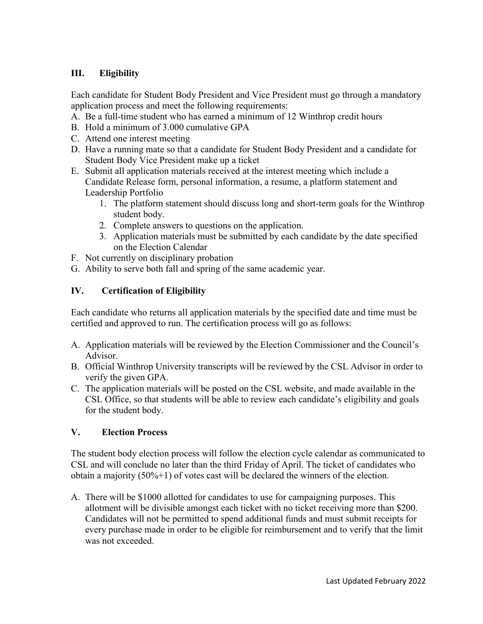# **III. Eligibility**

Each candidate for Student Body President and Vice President must go through a mandatory application process and meet the following requirements:

- A. Be a full-time student who has earned a minimum of 12 Winthrop credit hours
- B. Hold a minimum of 3.000 cumulative GPA
- C. Attend one interest meeting
- D. Have a running mate so that a candidate for Student Body President and a candidate for Student Body Vice President make up a ticket
- E. Submit all application materials received at the interest meeting which include a Candidate Release form, personal information, a resume, a platform statement and Leadership Portfolio
	- 1. The platform statement should discuss long and short-term goals for the Winthrop student body.
	- 2. Complete answers to questions on the application.
	- 3. Application materials must be submitted by each candidate by the date specified on the Election Calendar
- F. Not currently on disciplinary probation
- G. Ability to serve both fall and spring of the same academic year.

# **IV. Certification of Eligibility**

Each candidate who returns all application materials by the specified date and time must be certified and approved to run. The certification process will go as follows:

- A. Application materials will be reviewed by the Election Commissioner and the Council's Advisor.
- B. Official Winthrop University transcripts will be reviewed by the CSL Advisor in order to verify the given GPA.
- C. The application materials will be posted on the CSL website, and made available in the CSL Office, so that students will be able to review each candidate's eligibility and goals for the student body.

## **V. Election Process**

The student body election process will follow the election cycle calendar as communicated to CSL and will conclude no later than the third Friday of April. The ticket of candidates who obtain a majority  $(50\% + 1)$  of votes cast will be declared the winners of the election.

A. There will be \$1000 allotted for candidates to use for campaigning purposes. This allotment will be divisible amongst each ticket with no ticket receiving more than \$200. Candidates will not be permitted to spend additional funds and must submit receipts for every purchase made in order to be eligible for reimbursement and to verify that the limit was not exceeded.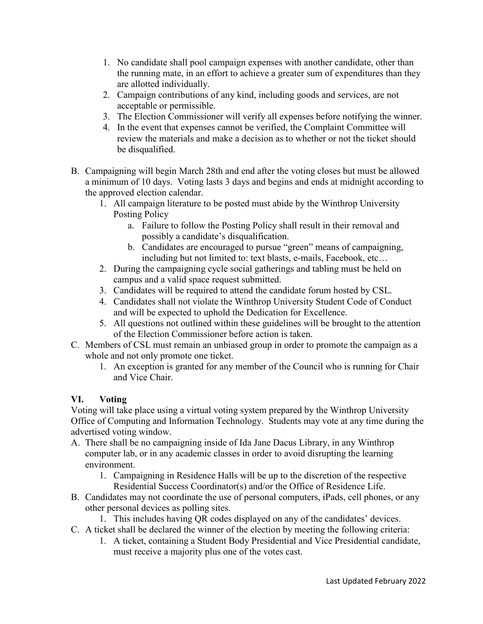- 1. No candidate shall pool campaign expenses with another candidate, other than the running mate, in an effort to achieve a greater sum of expenditures than they are allotted individually.
- 2. Campaign contributions of any kind, including goods and services, are not acceptable or permissible.
- 3. The Election Commissioner will verify all expenses before notifying the winner.
- 4. In the event that expenses cannot be verified, the Complaint Committee will review the materials and make a decision as to whether or not the ticket should be disqualified.
- B. Campaigning will begin March 28th and end after the voting closes but must be allowed a minimum of 10 days. Voting lasts 3 days and begins and ends at midnight according to the approved election calendar.
	- 1. All campaign literature to be posted must abide by the Winthrop University Posting Policy
		- a. Failure to follow the Posting Policy shall result in their removal and possibly a candidate's disqualification.
		- b. Candidates are encouraged to pursue "green" means of campaigning, including but not limited to: text blasts, e-mails, Facebook, etc…
	- 2. During the campaigning cycle social gatherings and tabling must be held on campus and a valid space request submitted.
	- 3. Candidates will be required to attend the candidate forum hosted by CSL.
	- 4. Candidates shall not violate the Winthrop University Student Code of Conduct and will be expected to uphold the Dedication for Excellence.
	- 5. All questions not outlined within these guidelines will be brought to the attention of the Election Commissioner before action is taken.
- C. Members of CSL must remain an unbiased group in order to promote the campaign as a whole and not only promote one ticket.
	- 1. An exception is granted for any member of the Council who is running for Chair and Vice Chair.

# **VI. Voting**

Voting will take place using a virtual voting system prepared by the Winthrop University Office of Computing and Information Technology. Students may vote at any time during the advertised voting window.

- A. There shall be no campaigning inside of Ida Jane Dacus Library, in any Winthrop computer lab, or in any academic classes in order to avoid disrupting the learning environment.
	- 1. Campaigning in Residence Halls will be up to the discretion of the respective Residential Success Coordinator(s) and/or the Office of Residence Life.
- B. Candidates may not coordinate the use of personal computers, iPads, cell phones, or any other personal devices as polling sites.
	- 1. This includes having QR codes displayed on any of the candidates' devices.
- C. A ticket shall be declared the winner of the election by meeting the following criteria:
	- 1. A ticket, containing a Student Body Presidential and Vice Presidential candidate, must receive a majority plus one of the votes cast.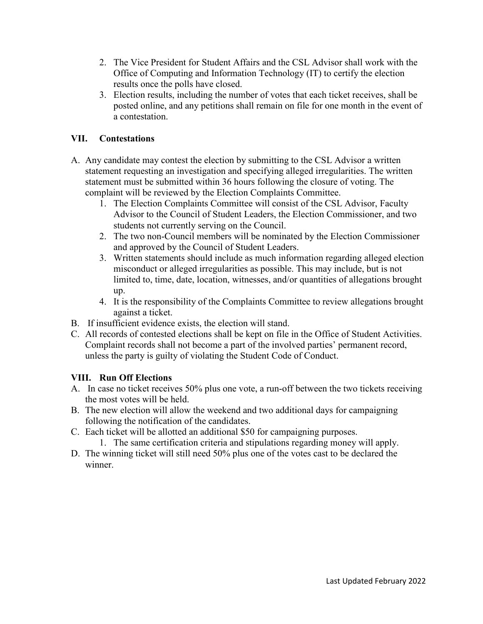- 2. The Vice President for Student Affairs and the CSL Advisor shall work with the Office of Computing and Information Technology (IT) to certify the election results once the polls have closed.
- 3. Election results, including the number of votes that each ticket receives, shall be posted online, and any petitions shall remain on file for one month in the event of a contestation.

# **VII. Contestations**

- A. Any candidate may contest the election by submitting to the CSL Advisor a written statement requesting an investigation and specifying alleged irregularities. The written statement must be submitted within 36 hours following the closure of voting. The complaint will be reviewed by the Election Complaints Committee.
	- 1. The Election Complaints Committee will consist of the CSL Advisor, Faculty Advisor to the Council of Student Leaders, the Election Commissioner, and two students not currently serving on the Council.
	- 2. The two non-Council members will be nominated by the Election Commissioner and approved by the Council of Student Leaders.
	- 3. Written statements should include as much information regarding alleged election misconduct or alleged irregularities as possible. This may include, but is not limited to, time, date, location, witnesses, and/or quantities of allegations brought up.
	- 4. It is the responsibility of the Complaints Committee to review allegations brought against a ticket.
- B. If insufficient evidence exists, the election will stand.
- C. All records of contested elections shall be kept on file in the Office of Student Activities. Complaint records shall not become a part of the involved parties' permanent record, unless the party is guilty of violating the Student Code of Conduct.

## **VIII. Run Off Elections**

- A. In case no ticket receives 50% plus one vote, a run-off between the two tickets receiving the most votes will be held.
- B. The new election will allow the weekend and two additional days for campaigning following the notification of the candidates.
- C. Each ticket will be allotted an additional \$50 for campaigning purposes.
	- 1. The same certification criteria and stipulations regarding money will apply.
- D. The winning ticket will still need 50% plus one of the votes cast to be declared the winner.